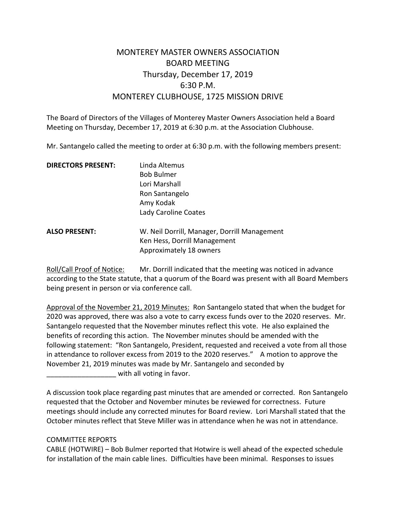# MONTEREY MASTER OWNERS ASSOCIATION BOARD MEETING Thursday, December 17, 2019 6:30 P.M. MONTEREY CLUBHOUSE, 1725 MISSION DRIVE

The Board of Directors of the Villages of Monterey Master Owners Association held a Board Meeting on Thursday, December 17, 2019 at 6:30 p.m. at the Association Clubhouse.

Mr. Santangelo called the meeting to order at 6:30 p.m. with the following members present:

| <b>DIRECTORS PRESENT:</b> | Linda Altemus                                |
|---------------------------|----------------------------------------------|
|                           | <b>Bob Bulmer</b>                            |
|                           | Lori Marshall                                |
|                           | Ron Santangelo                               |
|                           | Amy Kodak                                    |
|                           | Lady Caroline Coates                         |
| <b>ALSO PRESENT:</b>      | W. Neil Dorrill, Manager, Dorrill Management |
|                           | Ken Hess, Dorrill Management                 |
|                           | Approximately 18 owners                      |

Roll/Call Proof of Notice: Mr. Dorrill indicated that the meeting was noticed in advance according to the State statute, that a quorum of the Board was present with all Board Members being present in person or via conference call.

Approval of the November 21, 2019 Minutes: Ron Santangelo stated that when the budget for 2020 was approved, there was also a vote to carry excess funds over to the 2020 reserves. Mr. Santangelo requested that the November minutes reflect this vote. He also explained the benefits of recording this action. The November minutes should be amended with the following statement: "Ron Santangelo, President, requested and received a vote from all those in attendance to rollover excess from 2019 to the 2020 reserves." A motion to approve the November 21, 2019 minutes was made by Mr. Santangelo and seconded by with all voting in favor.

A discussion took place regarding past minutes that are amended or corrected. Ron Santangelo requested that the October and November minutes be reviewed for correctness. Future meetings should include any corrected minutes for Board review. Lori Marshall stated that the October minutes reflect that Steve Miller was in attendance when he was not in attendance.

# COMMITTEE REPORTS

CABLE (HOTWIRE) – Bob Bulmer reported that Hotwire is well ahead of the expected schedule for installation of the main cable lines. Difficulties have been minimal. Responses to issues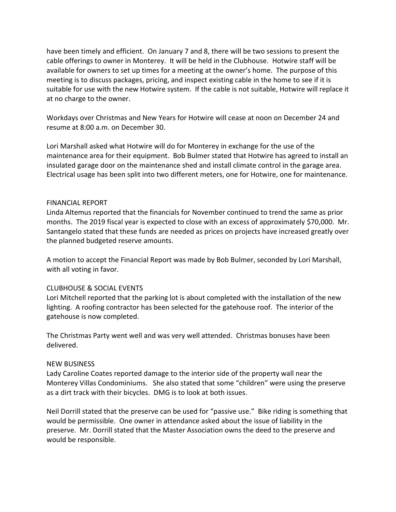have been timely and efficient. On January 7 and 8, there will be two sessions to present the cable offerings to owner in Monterey. It will be held in the Clubhouse. Hotwire staff will be available for owners to set up times for a meeting at the owner's home. The purpose of this meeting is to discuss packages, pricing, and inspect existing cable in the home to see if it is suitable for use with the new Hotwire system. If the cable is not suitable, Hotwire will replace it at no charge to the owner.

Workdays over Christmas and New Years for Hotwire will cease at noon on December 24 and resume at 8:00 a.m. on December 30.

Lori Marshall asked what Hotwire will do for Monterey in exchange for the use of the maintenance area for their equipment. Bob Bulmer stated that Hotwire has agreed to install an insulated garage door on the maintenance shed and install climate control in the garage area. Electrical usage has been split into two different meters, one for Hotwire, one for maintenance.

# FINANCIAL REPORT

Linda Altemus reported that the financials for November continued to trend the same as prior months. The 2019 fiscal year is expected to close with an excess of approximately \$70,000. Mr. Santangelo stated that these funds are needed as prices on projects have increased greatly over the planned budgeted reserve amounts.

A motion to accept the Financial Report was made by Bob Bulmer, seconded by Lori Marshall, with all voting in favor.

#### CLUBHOUSE & SOCIAL EVENTS

Lori Mitchell reported that the parking lot is about completed with the installation of the new lighting. A roofing contractor has been selected for the gatehouse roof. The interior of the gatehouse is now completed.

The Christmas Party went well and was very well attended. Christmas bonuses have been delivered.

#### NEW BUSINESS

Lady Caroline Coates reported damage to the interior side of the property wall near the Monterey Villas Condominiums. She also stated that some "children" were using the preserve as a dirt track with their bicycles. DMG is to look at both issues.

Neil Dorrill stated that the preserve can be used for "passive use." Bike riding is something that would be permissible. One owner in attendance asked about the issue of liability in the preserve. Mr. Dorrill stated that the Master Association owns the deed to the preserve and would be responsible.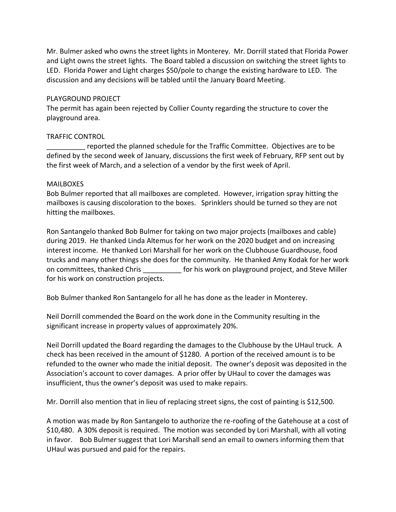Mr. Bulmer asked who owns the street lights in Monterey. Mr. Dorrill stated that Florida Power and Light owns the street lights. The Board tabled a discussion on switching the street lights to LED. Florida Power and Light charges \$50/pole to change the existing hardware to LED. The discussion and any decisions will be tabled until the January Board Meeting.

#### PLAYGROUND PROJECT

The permit has again been rejected by Collier County regarding the structure to cover the playground area.

### TRAFFIC CONTROL

reported the planned schedule for the Traffic Committee. Objectives are to be defined by the second week of January, discussions the first week of February, RFP sent out by the first week of March, and a selection of a vendor by the first week of April.

#### MAILBOXES

Bob Bulmer reported that all mailboxes are completed. However, irrigation spray hitting the mailboxes is causing discoloration to the boxes. Sprinklers should be turned so they are not hitting the mailboxes.

Ron Santangelo thanked Bob Bulmer for taking on two major projects (mailboxes and cable) during 2019. He thanked Linda Altemus for her work on the 2020 budget and on increasing interest income. He thanked Lori Marshall for her work on the Clubhouse Guardhouse, food trucks and many other things she does for the community. He thanked Amy Kodak for her work on committees, thanked Chris \_\_\_\_\_\_\_\_\_\_ for his work on playground project, and Steve Miller for his work on construction projects.

Bob Bulmer thanked Ron Santangelo for all he has done as the leader in Monterey.

Neil Dorrill commended the Board on the work done in the Community resulting in the significant increase in property values of approximately 20%.

Neil Dorrill updated the Board regarding the damages to the Clubhouse by the UHaul truck. A check has been received in the amount of \$1280. A portion of the received amount is to be refunded to the owner who made the initial deposit. The owner's deposit was deposited in the Association's account to cover damages. A prior offer by UHaul to cover the damages was insufficient, thus the owner's deposit was used to make repairs.

Mr. Dorrill also mention that in lieu of replacing street signs, the cost of painting is \$12,500.

A motion was made by Ron Santangelo to authorize the re-roofing of the Gatehouse at a cost of \$10,480. A 30% deposit is required. The motion was seconded by Lori Marshall, with all voting in favor. Bob Bulmer suggest that Lori Marshall send an email to owners informing them that UHaul was pursued and paid for the repairs.